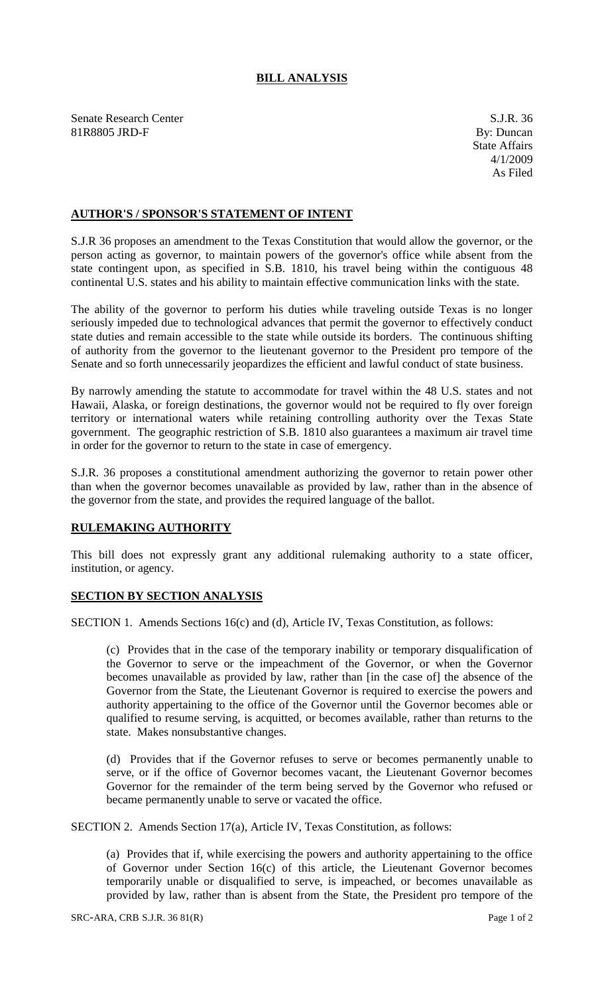## **BILL ANALYSIS**

Senate Research Center S.J.R. 36<br>
81R8805 JRD-F By: Duncan 81R8805 JRD-F

## **AUTHOR'S / SPONSOR'S STATEMENT OF INTENT**

S.J.R 36 proposes an amendment to the Texas Constitution that would allow the governor, or the person acting as governor, to maintain powers of the governor's office while absent from the state contingent upon, as specified in S.B. 1810, his travel being within the contiguous 48 continental U.S. states and his ability to maintain effective communication links with the state.

The ability of the governor to perform his duties while traveling outside Texas is no longer seriously impeded due to technological advances that permit the governor to effectively conduct state duties and remain accessible to the state while outside its borders. The continuous shifting of authority from the governor to the lieutenant governor to the President pro tempore of the Senate and so forth unnecessarily jeopardizes the efficient and lawful conduct of state business.

By narrowly amending the statute to accommodate for travel within the 48 U.S. states and not Hawaii, Alaska, or foreign destinations, the governor would not be required to fly over foreign territory or international waters while retaining controlling authority over the Texas State government. The geographic restriction of S.B. 1810 also guarantees a maximum air travel time in order for the governor to return to the state in case of emergency.

S.J.R. 36 proposes a constitutional amendment authorizing the governor to retain power other than when the governor becomes unavailable as provided by law, rather than in the absence of the governor from the state, and provides the required language of the ballot.

## **RULEMAKING AUTHORITY**

This bill does not expressly grant any additional rulemaking authority to a state officer, institution, or agency.

## **SECTION BY SECTION ANALYSIS**

SECTION 1. Amends Sections 16(c) and (d), Article IV, Texas Constitution, as follows:

(c) Provides that in the case of the temporary inability or temporary disqualification of the Governor to serve or the impeachment of the Governor, or when the Governor becomes unavailable as provided by law, rather than [in the case of] the absence of the Governor from the State, the Lieutenant Governor is required to exercise the powers and authority appertaining to the office of the Governor until the Governor becomes able or qualified to resume serving, is acquitted, or becomes available, rather than returns to the state. Makes nonsubstantive changes.

(d) Provides that if the Governor refuses to serve or becomes permanently unable to serve, or if the office of Governor becomes vacant, the Lieutenant Governor becomes Governor for the remainder of the term being served by the Governor who refused or became permanently unable to serve or vacated the office.

SECTION 2. Amends Section 17(a), Article IV, Texas Constitution, as follows:

(a) Provides that if, while exercising the powers and authority appertaining to the office of Governor under Section 16(c) of this article, the Lieutenant Governor becomes temporarily unable or disqualified to serve, is impeached, or becomes unavailable as provided by law, rather than is absent from the State, the President pro tempore of the